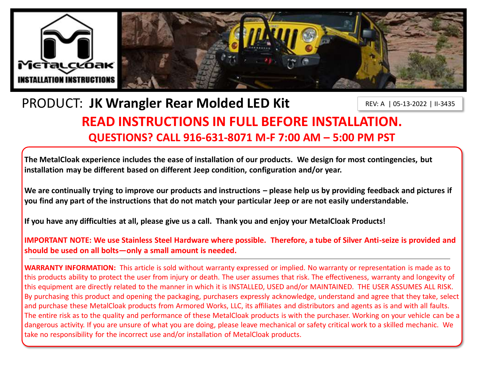

## PRODUCT: **JK Wrangler Rear Molded LED Kit**

REV: A | 05-13-2022 | II-3435

# **READ INSTRUCTIONS IN FULL BEFORE INSTALLATION. QUESTIONS? CALL 916-631-8071 M-F 7:00 AM – 5:00 PM PST**

**The MetalCloak experience includes the ease of installation of our products. We design for most contingencies, but installation may be different based on different Jeep condition, configuration and/or year.**

We are continually trying to improve our products and instructions – please help us by providing feedback and pictures if **you find any part of the instructions that do not match your particular Jeep or are not easily understandable.** 

**If you have any difficulties at all, please give us a call. Thank you and enjoy your MetalCloak Products!** 

**IMPORTANT NOTE: We use Stainless Steel Hardware where possible. Therefore, a tube of Silver Anti-seize is provided and should be used on all bolts—only a small amount is needed.**

**WARRANTY INFORMATION:** This article is sold without warranty expressed or implied. No warranty or representation is made as to this products ability to protect the user from injury or death. The user assumes that risk. The effectiveness, warranty and longevity of this equipment are directly related to the manner in which it is INSTALLED, USED and/or MAINTAINED. THE USER ASSUMES ALL RISK. By purchasing this product and opening the packaging, purchasers expressly acknowledge, understand and agree that they take, select and purchase these MetalCloak products from Armored Works, LLC, its affiliates and distributors and agents as is and with all faults. The entire risk as to the quality and performance of these MetalCloak products is with the purchaser. Working on your vehicle can be a dangerous activity. If you are unsure of what you are doing, please leave mechanical or safety critical work to a skilled mechanic. We take no responsibility for the incorrect use and/or installation of MetalCloak products.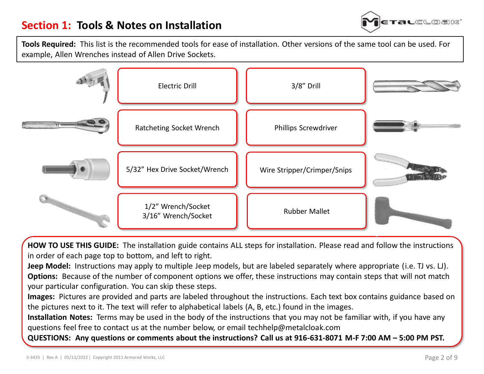

**Tools Required:** This list is the recommended tools for ease of installation. Other versions of the same tool can be used. For example, Allen Wrenches instead of Allen Drive Sockets.



**HOW TO USE THIS GUIDE:** The installation guide contains ALL steps for installation. Please read and follow the instructions in order of each page top to bottom, and left to right.

**Jeep Model:** Instructions may apply to multiple Jeep models, but are labeled separately where appropriate (i.e. TJ vs. LJ). **Options:** Because of the number of component options we offer, these instructions may contain steps that will not match your particular configuration. You can skip these steps.

**Images:** Pictures are provided and parts are labeled throughout the instructions. Each text box contains guidance based on the pictures next to it. The text will refer to alphabetical labels (A, B, etc.) found in the images.

**Installation Notes:** Terms may be used in the body of the instructions that you may not be familiar with, if you have any questions feel free to contact us at the number below, or email techhelp@metalcloak.com

**QUESTIONS: Any questions or comments about the instructions? Call us at 916-631-8071 M-F 7:00 AM – 5:00 PM PST.**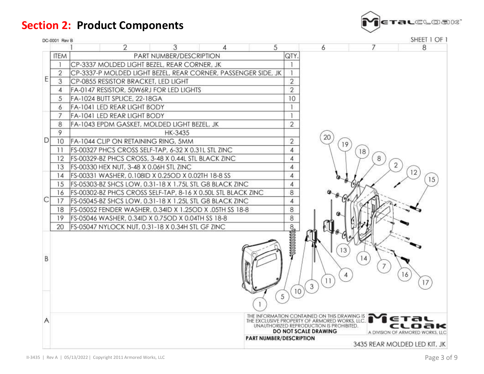**Section 2: Product Components**



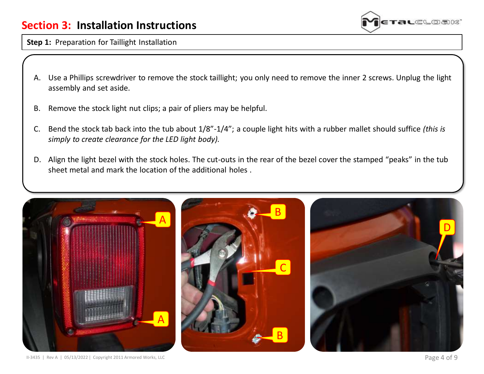### **Section 3: Installation Instructions**



**Step 1:** Preparation for Taillight Installation

- A. Use a Phillips screwdriver to remove the stock taillight; you only need to remove the inner 2 screws. Unplug the light assembly and set aside.
- B. Remove the stock light nut clips; a pair of pliers may be helpful.
- C. Bend the stock tab back into the tub about 1/8"-1/4"; a couple light hits with a rubber mallet should suffice *(this is simply to create clearance for the LED light body).*
- D. Align the light bezel with the stock holes. The cut-outs in the rear of the bezel cover the stamped "peaks" in the tub sheet metal and mark the location of the additional holes .

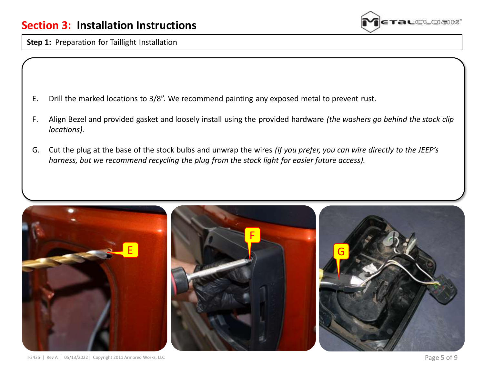

**Step 1:** Preparation for Taillight Installation

- E. Drill the marked locations to 3/8". We recommend painting any exposed metal to prevent rust.
- F. Align Bezel and provided gasket and loosely install using the provided hardware *(the washers go behind the stock clip locations).*
- G. Cut the plug at the base of the stock bulbs and unwrap the wires *(if you prefer, you can wire directly to the JEEP's harness, but we recommend recycling the plug from the stock light for easier future access).*

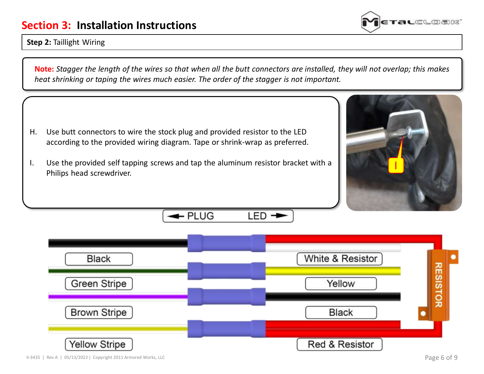### **Section 3: Installation Instructions**

#### **Step 2:** Taillight Wiring

**Note:** *Stagger the length of the wires so that when all the butt connectors are installed, they will not overlap; this makes heat shrinking or taping the wires much easier. The order of the stagger is not important.*

- H. Use butt connectors to wire the stock plug and provided resistor to the LED according to the provided wiring diagram. Tape or shrink-wrap as preferred.
- I. Use the provided self tapping screws and tap the aluminum resistor bracket with a Philips head screwdriver.

- PLUG



LED



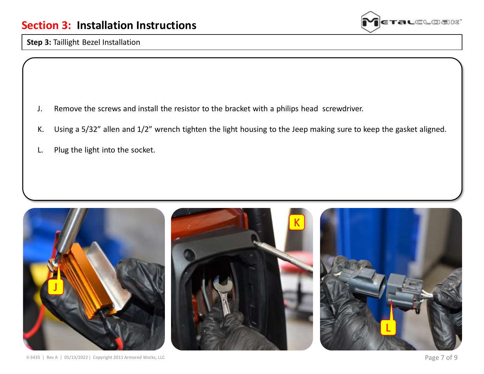

**Step 3: Taillight Bezel Installation** 

- J. Remove the screws and install the resistor to the bracket with a philips head screwdriver.
- K. Using a 5/32" allen and 1/2" wrench tighten the light housing to the Jeep making sure to keep the gasket aligned.
- L. Plug the light into the socket.

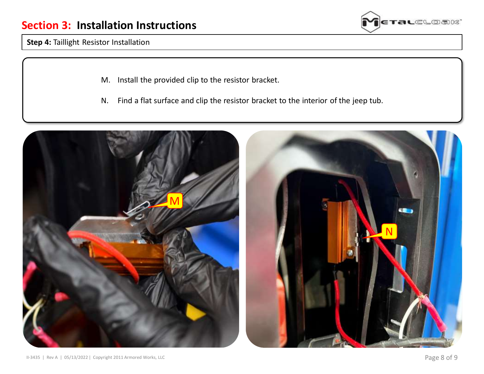

**Step 4: Taillight Resistor Installation** 

- M. Install the provided clip to the resistor bracket.
- N. Find a flat surface and clip the resistor bracket to the interior of the jeep tub.